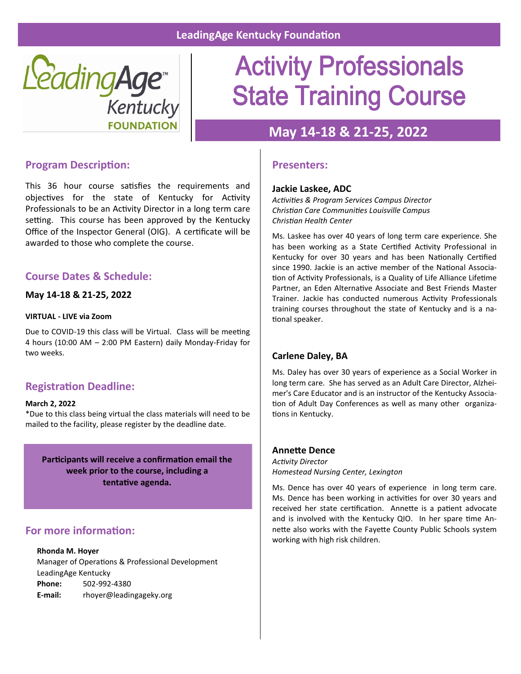

## **Activity Professionals State Training Course**

## **May 14-18 & 21-25, 2022**

## **Program Description:**

This 36 hour course satisfies the requirements and objectives for the state of Kentucky for Activity Professionals to be an Activity Director in a long term care setting. This course has been approved by the Kentucky Office of the Inspector General (OIG). A certificate will be awarded to those who complete the course.

## **Course Dates & Schedule:**

#### **May 14-18 & 21-25, 2022**

#### **VIRTUAL - LIVE via Zoom**

Due to COVID-19 this class will be Virtual. Class will be meeting 4 hours (10:00 AM – 2:00 PM Eastern) daily Monday-Friday for two weeks.

## **Registration Deadline:**

#### **March 2, 2022**

\*Due to this class being virtual the class materials will need to be mailed to the facility, please register by the deadline date.

**Participants will receive a confirmation email the week prior to the course, including a tentative agenda.**

## **For more information:**

#### **Rhonda M. Hoyer**

Manager of Operations & Professional Development LeadingAge Kentucky **Phone:** 502-992-4380 **E-mail:** rhoyer@leadingageky.org

### **Presenters:**

#### **Jackie Laskee, ADC**

*Activities & Program Services Campus Director Christian Care Communities Louisville Campus Christian Health Center*

Ms. Laskee has over 40 years of long term care experience. She has been working as a State Certified Activity Professional in Kentucky for over 30 years and has been Nationally Certified since 1990. Jackie is an active member of the National Association of Activity Professionals, is a Quality of Life Alliance Lifetime Partner, an Eden Alternative Associate and Best Friends Master Trainer. Jackie has conducted numerous Activity Professionals training courses throughout the state of Kentucky and is a national speaker.

#### **Carlene Daley, BA**

Ms. Daley has over 30 years of experience as a Social Worker in long term care. She has served as an Adult Care Director, Alzheimer's Care Educator and is an instructor of the Kentucky Association of Adult Day Conferences as well as many other organizations in Kentucky.

#### **Annette Dence**

*Activity Director Homestead Nursing Center, Lexington*

Ms. Dence has over 40 years of experience in long term care. Ms. Dence has been working in activities for over 30 years and received her state certification. Annette is a patient advocate and is involved with the Kentucky QIO. In her spare time Annette also works with the Fayette County Public Schools system working with high risk children.